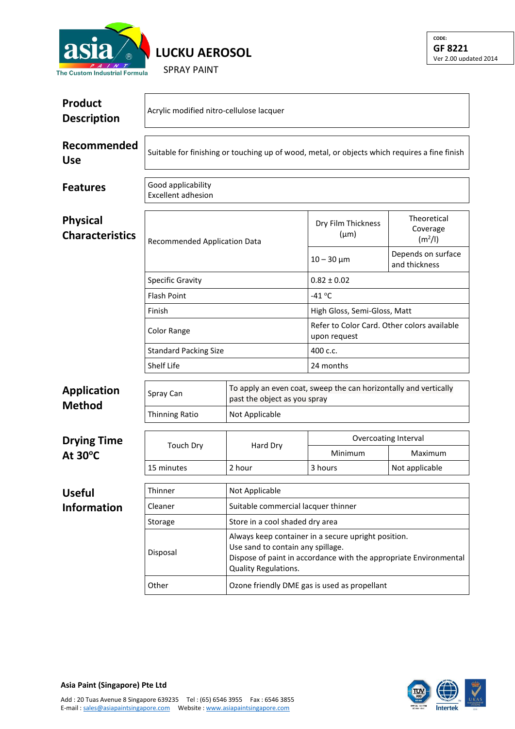

**LUCKU AEROSOL**

SPRAY PAINT

| Product<br><b>Description</b>             | Acrylic modified nitro-cellulose lacquer                                                      |                                     |                                                                                                                                                                                                               |                                                |  |  |
|-------------------------------------------|-----------------------------------------------------------------------------------------------|-------------------------------------|---------------------------------------------------------------------------------------------------------------------------------------------------------------------------------------------------------------|------------------------------------------------|--|--|
| Recommended<br><b>Use</b>                 | Suitable for finishing or touching up of wood, metal, or objects which requires a fine finish |                                     |                                                                                                                                                                                                               |                                                |  |  |
| <b>Features</b>                           | Good applicability<br><b>Excellent adhesion</b>                                               |                                     |                                                                                                                                                                                                               |                                                |  |  |
| <b>Physical</b><br><b>Characteristics</b> | <b>Recommended Application Data</b>                                                           |                                     | Dry Film Thickness<br>$(\mu m)$                                                                                                                                                                               | Theoretical<br>Coverage<br>(m <sup>2</sup> /I) |  |  |
|                                           |                                                                                               |                                     | $10 - 30 \mu m$                                                                                                                                                                                               | Depends on surface<br>and thickness            |  |  |
|                                           | <b>Specific Gravity</b>                                                                       |                                     | $0.82 \pm 0.02$                                                                                                                                                                                               |                                                |  |  |
|                                           | <b>Flash Point</b>                                                                            |                                     | $-41$ °C                                                                                                                                                                                                      |                                                |  |  |
|                                           | Finish                                                                                        |                                     | High Gloss, Semi-Gloss, Matt                                                                                                                                                                                  |                                                |  |  |
|                                           | Color Range                                                                                   |                                     | Refer to Color Card. Other colors available<br>upon request                                                                                                                                                   |                                                |  |  |
|                                           | <b>Standard Packing Size</b>                                                                  |                                     | 400 c.c.                                                                                                                                                                                                      |                                                |  |  |
|                                           | <b>Shelf Life</b>                                                                             |                                     |                                                                                                                                                                                                               | 24 months                                      |  |  |
| <b>Application</b>                        | Spray Can                                                                                     | past the object as you spray        | To apply an even coat, sweep the can horizontally and vertically                                                                                                                                              |                                                |  |  |
| <b>Method</b>                             | Thinning Ratio                                                                                | Not Applicable                      |                                                                                                                                                                                                               |                                                |  |  |
|                                           |                                                                                               |                                     | Overcoating Interval                                                                                                                                                                                          |                                                |  |  |
| <b>Drying Time</b><br>At $30^{\circ}$ C   | <b>Touch Dry</b>                                                                              | Hard Dry                            | Minimum                                                                                                                                                                                                       | Maximum                                        |  |  |
|                                           | 15 minutes                                                                                    | 2 hour                              | 3 hours                                                                                                                                                                                                       | Not applicable                                 |  |  |
| <b>Useful</b>                             | Thinner                                                                                       | Not Applicable                      |                                                                                                                                                                                                               |                                                |  |  |
| <b>Information</b>                        | Cleaner                                                                                       | Suitable commercial lacquer thinner |                                                                                                                                                                                                               |                                                |  |  |
|                                           | Storage                                                                                       | Store in a cool shaded dry area     |                                                                                                                                                                                                               |                                                |  |  |
|                                           | Disposal                                                                                      | Quality Regulations.                | Always keep container in a secure upright position.<br>Use sand to contain any spillage.<br>Dispose of paint in accordance with the appropriate Environmental<br>Ozone friendly DME gas is used as propellant |                                                |  |  |
|                                           | Other                                                                                         |                                     |                                                                                                                                                                                                               |                                                |  |  |